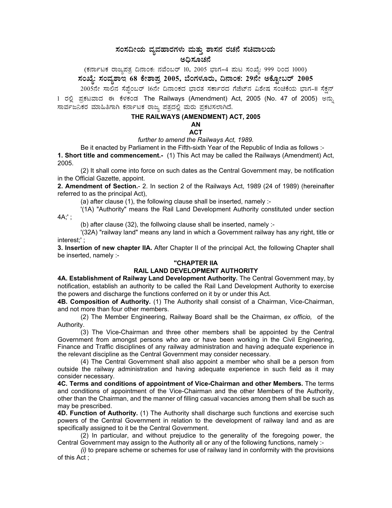# ಸಂಸದೀಯ ವ್ಯವಹಾರಗಳು ಮತ್ತು ಶಾಸನ ರಚನೆ ಸಚಿವಾಲಯ

(ಕರ್ನಾಟಕ ರಾಜ್ಯಪತ್ರ ದಿನಾಂಕ: ನವೆಂಬರ್ 10, 2005 ಭಾಗ–4 ಮಟ ಸಂಖ್ಯೆ: 999 ರಿಂದ 1000)<br>ಸಂಖ್ಯೆ: ಸಂವ್ಯಶಾಇ 68 ಕೇಶಾಪ್ರ 2005, ಬೆಂಗಳೂರು, ದಿನಾಂಕ: 29ನೇ ಅಕ್ಟೋಬರ್ 2005

2005ನೇ ಸಾಲಿನ ಸೆಪ್ಪೆಂಬರ್ 16ನೇ ದಿನಾಂಕದ ಭಾರತ ಸರ್ಕಾರದ ಗೆಜೆಟ್**ನ ವಿಶೇಷ ಸಂಚಿಕೆಯ ಭಾಗ-II ಸೆಕ್ಷ**ನ್ 1 ರಲ್ಲಿ ಪ್ರಕಟವಾದ ಈ ಕೆಳಕಂಡ The Railways (Amendment) Act, 2005 (No. 47 of 2005) ಅನ್ಸು ಸಾರ್ವಜನಿಕರ ಮಾಹಿತಿಗಾಗಿ ಕರ್ನಾಟಕ ರಾಜ್ಯ ಪತ್ರದಲ್ಲಿ ಮರು ಪ್ರಕಟಿಸಲಾಗಿದೆ.

## THE RAILWAYS (AMENDMENT) ACT, 2005

## AN

#### **ACT**

further to amend the Railways Act, 1989.

Be it enacted by Parliament in the Fifth-sixth Year of the Republic of India as follows :-1. Short title and commencement.- (1) This Act may be called the Railways (Amendment) Act, 2005.

(2) It shall come into force on such dates as the Central Government may, be notification in the Official Gazette, appoint.

2. Amendment of Section.- 2. In section 2 of the Railways Act, 1989 (24 of 1989) (hereinafter referred to as the principal Act),

(a) after clause (1), the following clause shall be inserted, namely :-

'(1A) "Authority" means the Rail Land Development Authority constituted under section 4A;';

(b) after clause  $(32)$ , the follwoing clause shall be inserted, namely :-

'(32A) "railway land" means any land in which a Government railway has any right, title or interest;';

3. Insertion of new chapter IIA. After Chapter II of the principal Act, the following Chapter shall be inserted, namely :-

#### "CHAPTER IIA

### RAIL LAND DEVELOPMENT AUTHORITY

4A. Establishment of Railway Land Development Authority. The Central Government may, by notification, establish an authority to be called the Rail Land Development Authority to exercise the powers and discharge the functions conferred on it by or under this Act.

4B. Composition of Authority. (1) The Authority shall consist of a Chairman, Vice-Chairman, and not more than four other members.

(2) The Member Engineering, Railway Board shall be the Chairman, ex officio, of the Authority.

(3) The Vice-Chairman and three other members shall be appointed by the Central Government from amongst persons who are or have been working in the Civil Engineering, Finance and Traffic disciplines of any railway administration and having adequate experience in the relevant discipline as the Central Government may consider necessary.

(4) The Central Government shall also appoint a member who shall be a person from outside the railway administration and having adequate experience in such field as it may consider necessary.

4C. Terms and conditions of appointment of Vice-Chairman and other Members. The terms and conditions of appointment of the Vice-Chairman and the other Members of the Authority, other than the Chairman, and the manner of filling casual vacancies among them shall be such as may be prescribed.

4D. Function of Authority. (1) The Authority shall discharge such functions and exercise such powers of the Central Government in relation to the development of railway land and as are specifically assigned to it be the Central Government.

(2) In particular, and without prejudice to the generality of the foregoing power, the Central Government may assign to the Authority all or any of the following functions, namely :-

(i) to prepare scheme or schemes for use of railway land in conformity with the provisions of this Act;